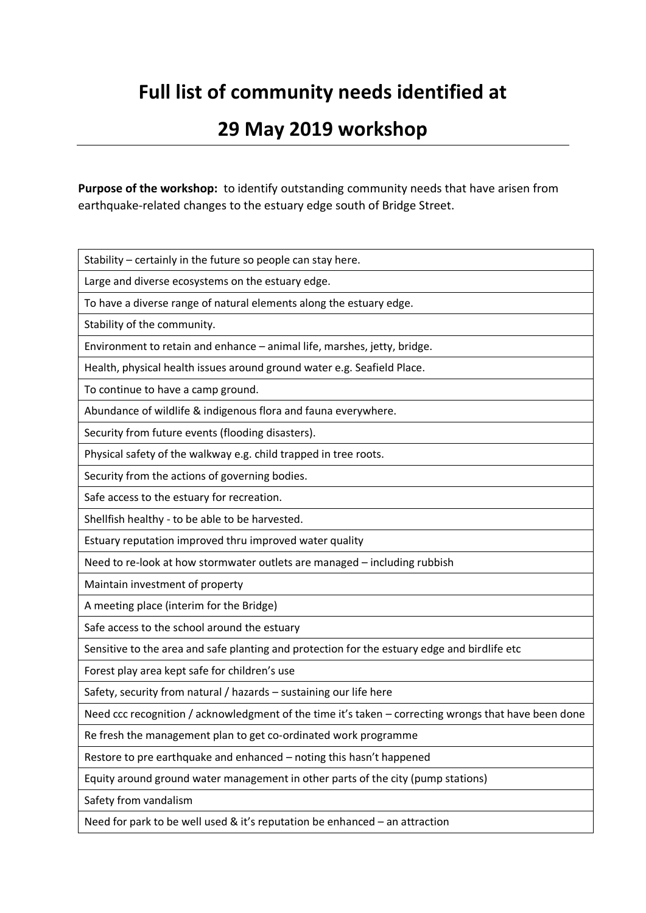# **Full list of community needs identified at**

### **29 May 2019 workshop**

**Purpose of the workshop:** to identify outstanding community needs that have arisen from earthquake-related changes to the estuary edge south of Bridge Street.

Stability – certainly in the future so people can stay here.

Large and diverse ecosystems on the estuary edge.

To have a diverse range of natural elements along the estuary edge.

Stability of the community.

Environment to retain and enhance – animal life, marshes, jetty, bridge.

Health, physical health issues around ground water e.g. Seafield Place.

To continue to have a camp ground.

Abundance of wildlife & indigenous flora and fauna everywhere.

Security from future events (flooding disasters).

Physical safety of the walkway e.g. child trapped in tree roots.

Security from the actions of governing bodies.

Safe access to the estuary for recreation.

Shellfish healthy - to be able to be harvested.

Estuary reputation improved thru improved water quality

Need to re-look at how stormwater outlets are managed – including rubbish

Maintain investment of property

A meeting place (interim for the Bridge)

Safe access to the school around the estuary

Sensitive to the area and safe planting and protection for the estuary edge and birdlife etc

Forest play area kept safe for children's use

Safety, security from natural / hazards – sustaining our life here

Need ccc recognition / acknowledgment of the time it's taken – correcting wrongs that have been done

Re fresh the management plan to get co-ordinated work programme

Restore to pre earthquake and enhanced – noting this hasn't happened

Equity around ground water management in other parts of the city (pump stations)

Safety from vandalism

Need for park to be well used & it's reputation be enhanced – an attraction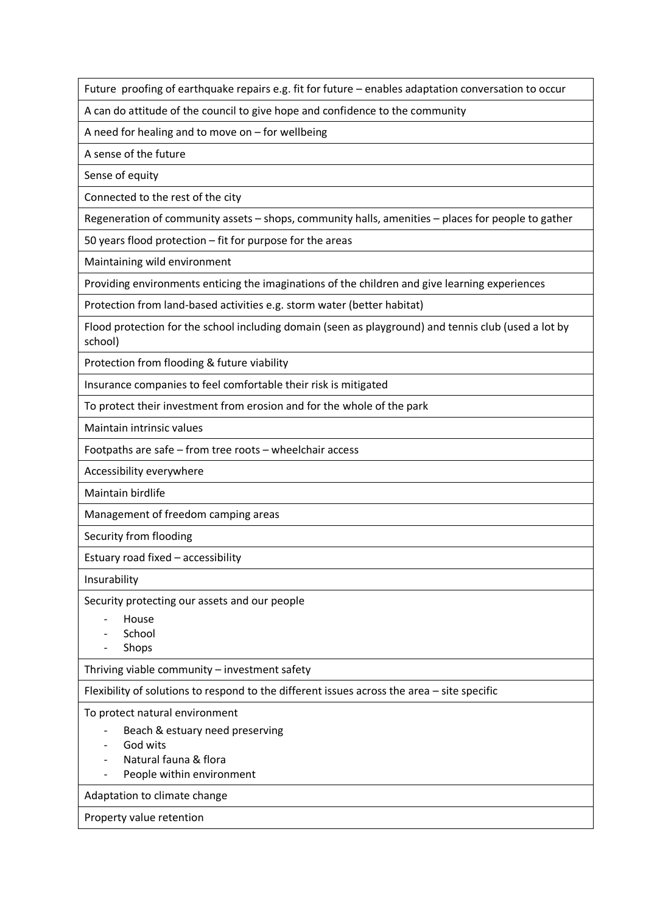Future proofing of earthquake repairs e.g. fit for future – enables adaptation conversation to occur

A can do attitude of the council to give hope and confidence to the community

A need for healing and to move on – for wellbeing

A sense of the future

Sense of equity

Connected to the rest of the city

Regeneration of community assets – shops, community halls, amenities – places for people to gather

50 years flood protection – fit for purpose for the areas

Maintaining wild environment

Providing environments enticing the imaginations of the children and give learning experiences

Protection from land-based activities e.g. storm water (better habitat)

Flood protection for the school including domain (seen as playground) and tennis club (used a lot by school)

Protection from flooding & future viability

Insurance companies to feel comfortable their risk is mitigated

To protect their investment from erosion and for the whole of the park

Maintain intrinsic values

Footpaths are safe – from tree roots – wheelchair access

Accessibility everywhere

Maintain birdlife

Management of freedom camping areas

Security from flooding

Estuary road fixed – accessibility

Insurability

Security protecting our assets and our people

- House
- School
- Shops

Thriving viable community – investment safety

Flexibility of solutions to respond to the different issues across the area – site specific

To protect natural environment

- Beach & estuary need preserving
- God wits
- Natural fauna & flora
- People within environment

Adaptation to climate change

#### Property value retention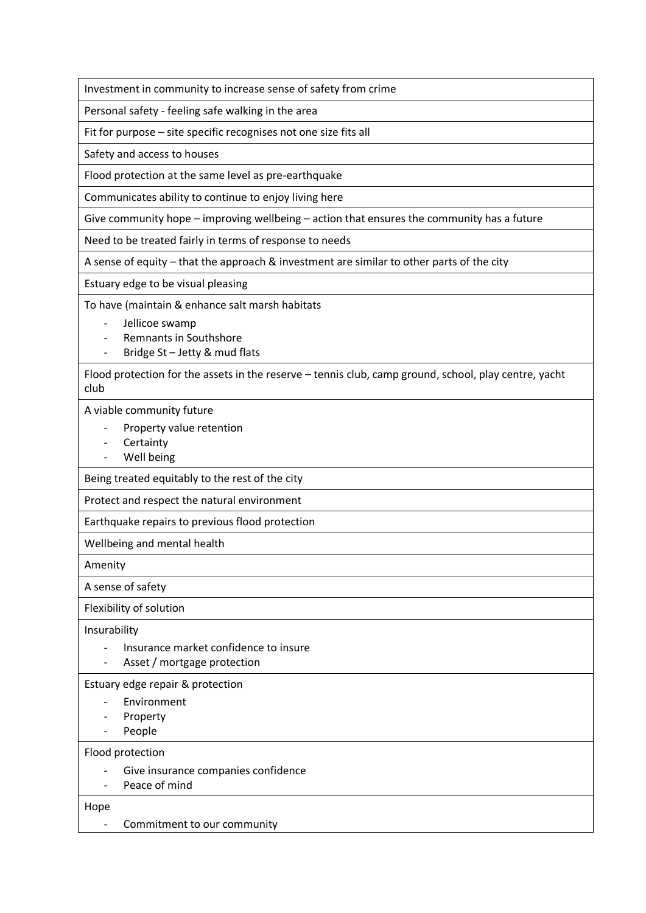Investment in community to increase sense of safety from crime

Personal safety - feeling safe walking in the area

Fit for purpose – site specific recognises not one size fits all

Safety and access to houses

Flood protection at the same level as pre-earthquake

Communicates ability to continue to enjoy living here

Give community hope – improving wellbeing – action that ensures the community has a future

Need to be treated fairly in terms of response to needs

A sense of equity – that the approach & investment are similar to other parts of the city

Estuary edge to be visual pleasing

To have (maintain & enhance salt marsh habitats

- Jellicoe swamp
- Remnants in Southshore
- Bridge St Jetty & mud flats

Flood protection for the assets in the reserve – tennis club, camp ground, school, play centre, yacht club

A viable community future

- Property value retention
- Certainty
- Well being

Being treated equitably to the rest of the city

Protect and respect the natural environment

Earthquake repairs to previous flood protection

Wellbeing and mental health

Amenity

A sense of safety

Flexibility of solution

Insurability

- Insurance market confidence to insure
- Asset / mortgage protection

Estuary edge repair & protection

- Environment
- **Property**
- People

Flood protection

- Give insurance companies confidence
- Peace of mind

Hope

- Commitment to our community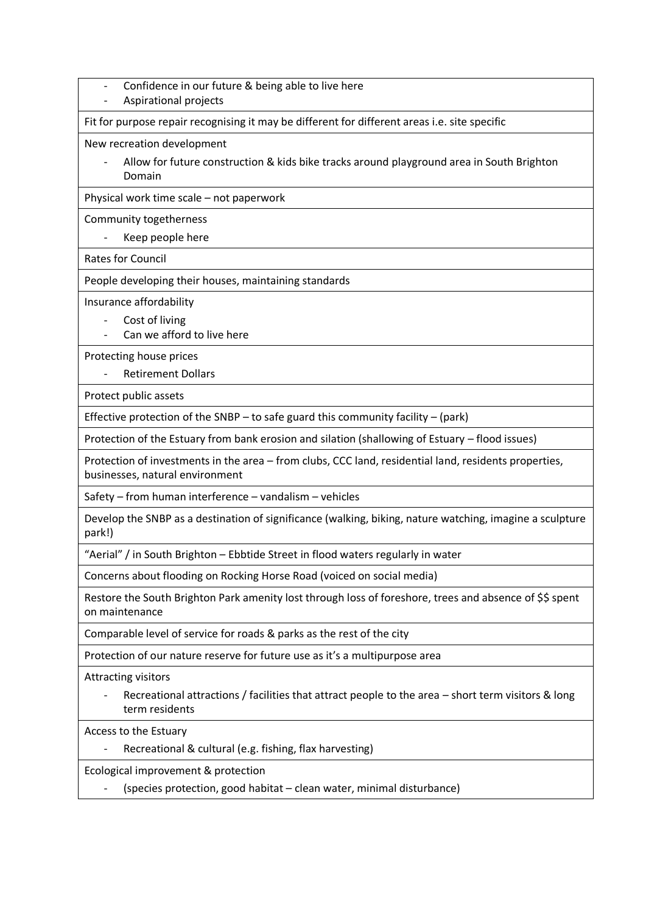- Confidence in our future & being able to live here
- Aspirational projects

Fit for purpose repair recognising it may be different for different areas i.e. site specific

New recreation development

- Allow for future construction & kids bike tracks around playground area in South Brighton Domain

Physical work time scale – not paperwork

Community togetherness

- Keep people here

Rates for Council

People developing their houses, maintaining standards

Insurance affordability

- Cost of living
- Can we afford to live here

Protecting house prices

Retirement Dollars

Protect public assets

Effective protection of the SNBP – to safe guard this community facility – (park)

Protection of the Estuary from bank erosion and silation (shallowing of Estuary – flood issues)

Protection of investments in the area – from clubs, CCC land, residential land, residents properties, businesses, natural environment

Safety – from human interference – vandalism – vehicles

Develop the SNBP as a destination of significance (walking, biking, nature watching, imagine a sculpture park!)

"Aerial" / in South Brighton – Ebbtide Street in flood waters regularly in water

Concerns about flooding on Rocking Horse Road (voiced on social media)

Restore the South Brighton Park amenity lost through loss of foreshore, trees and absence of \$\$ spent on maintenance

Comparable level of service for roads & parks as the rest of the city

Protection of our nature reserve for future use as it's a multipurpose area

Attracting visitors

Recreational attractions / facilities that attract people to the area – short term visitors & long term residents

Access to the Estuary

Recreational & cultural (e.g. fishing, flax harvesting)

Ecological improvement & protection

- (species protection, good habitat – clean water, minimal disturbance)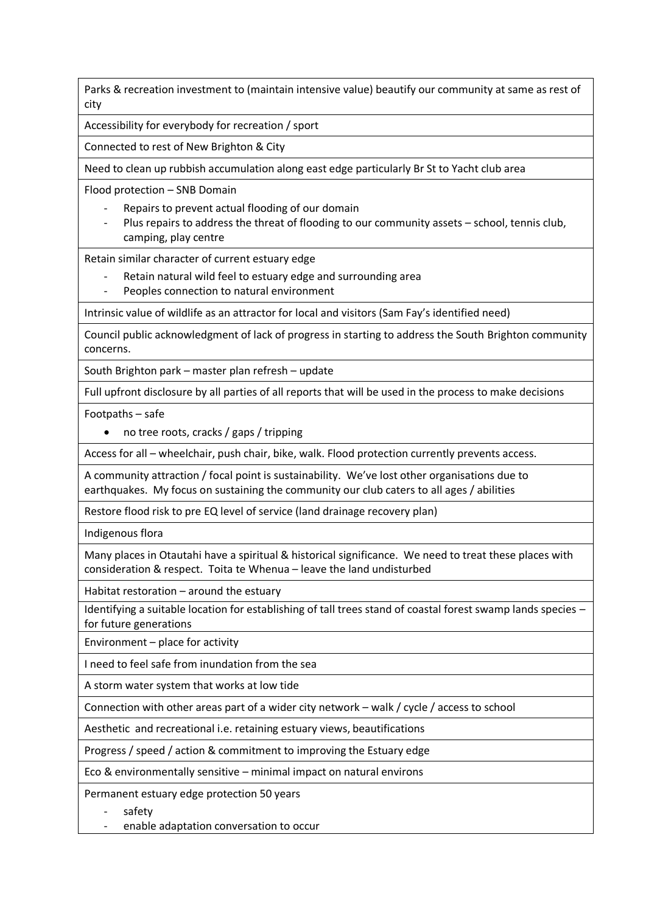Parks & recreation investment to (maintain intensive value) beautify our community at same as rest of city

Accessibility for everybody for recreation / sport

Connected to rest of New Brighton & City

Need to clean up rubbish accumulation along east edge particularly Br St to Yacht club area

Flood protection – SNB Domain

- Repairs to prevent actual flooding of our domain
- Plus repairs to address the threat of flooding to our community assets school, tennis club, camping, play centre

Retain similar character of current estuary edge

- Retain natural wild feel to estuary edge and surrounding area
- Peoples connection to natural environment

Intrinsic value of wildlife as an attractor for local and visitors (Sam Fay's identified need)

Council public acknowledgment of lack of progress in starting to address the South Brighton community concerns.

South Brighton park – master plan refresh – update

Full upfront disclosure by all parties of all reports that will be used in the process to make decisions

Footpaths – safe

• no tree roots, cracks / gaps / tripping

Access for all – wheelchair, push chair, bike, walk. Flood protection currently prevents access.

A community attraction / focal point is sustainability. We've lost other organisations due to earthquakes. My focus on sustaining the community our club caters to all ages / abilities

Restore flood risk to pre EQ level of service (land drainage recovery plan)

Indigenous flora

Many places in Otautahi have a spiritual & historical significance. We need to treat these places with consideration & respect. Toita te Whenua – leave the land undisturbed

Habitat restoration – around the estuary

Identifying a suitable location for establishing of tall trees stand of coastal forest swamp lands species – for future generations

Environment – place for activity

I need to feel safe from inundation from the sea

A storm water system that works at low tide

Connection with other areas part of a wider city network – walk / cycle / access to school

Aesthetic and recreational i.e. retaining estuary views, beautifications

Progress / speed / action & commitment to improving the Estuary edge

Eco & environmentally sensitive – minimal impact on natural environs

Permanent estuary edge protection 50 years

safety

enable adaptation conversation to occur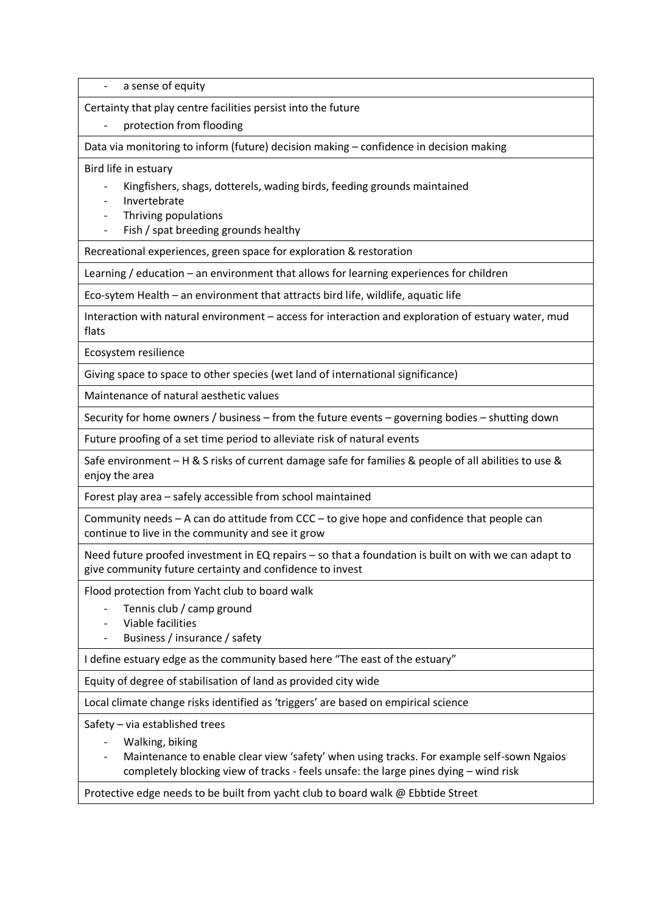a sense of equity

Certainty that play centre facilities persist into the future

protection from flooding

Data via monitoring to inform (future) decision making – confidence in decision making

Bird life in estuary

- Kingfishers, shags, dotterels, wading birds, feeding grounds maintained

- Invertebrate
- Thriving populations
- Fish / spat breeding grounds healthy

Recreational experiences, green space for exploration & restoration

Learning / education – an environment that allows for learning experiences for children

Eco-sytem Health – an environment that attracts bird life, wildlife, aquatic life

Interaction with natural environment – access for interaction and exploration of estuary water, mud flats

Ecosystem resilience

Giving space to space to other species (wet land of international significance)

Maintenance of natural aesthetic values

Security for home owners / business – from the future events – governing bodies – shutting down

Future proofing of a set time period to alleviate risk of natural events

Safe environment – H & S risks of current damage safe for families & people of all abilities to use & enjoy the area

Forest play area – safely accessible from school maintained

Community needs – A can do attitude from CCC – to give hope and confidence that people can continue to live in the community and see it grow

Need future proofed investment in EQ repairs – so that a foundation is built on with we can adapt to give community future certainty and confidence to invest

Flood protection from Yacht club to board walk

- Tennis club / camp ground
- Viable facilities
- Business / insurance / safety

I define estuary edge as the community based here "The east of the estuary"

Equity of degree of stabilisation of land as provided city wide

Local climate change risks identified as 'triggers' are based on empirical science

Safety – via established trees

- Walking, biking

- Maintenance to enable clear view 'safety' when using tracks. For example self-sown Ngaios completely blocking view of tracks - feels unsafe: the large pines dying – wind risk

Protective edge needs to be built from yacht club to board walk @ Ebbtide Street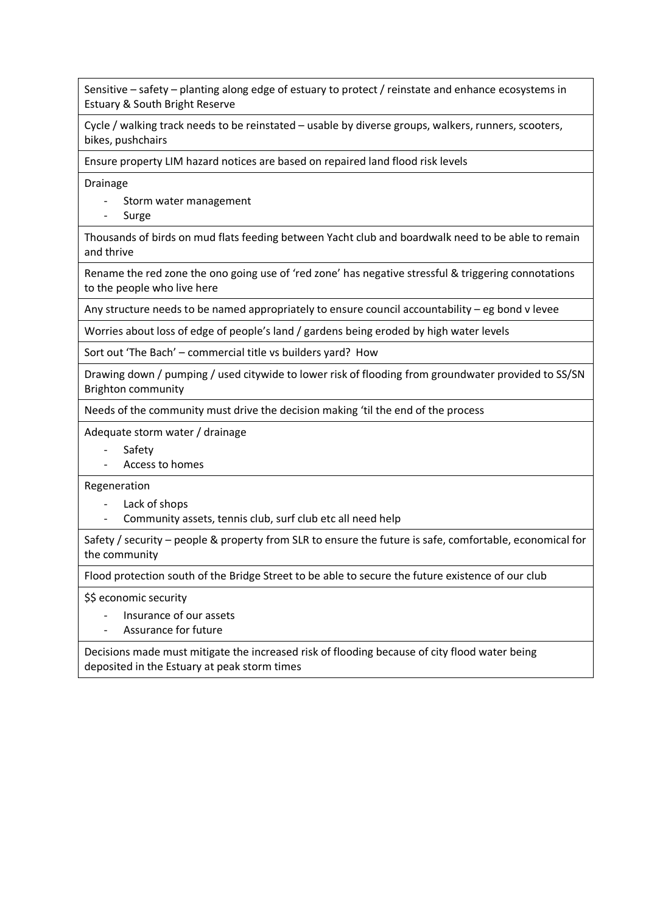Sensitive – safety – planting along edge of estuary to protect / reinstate and enhance ecosystems in Estuary & South Bright Reserve

Cycle / walking track needs to be reinstated – usable by diverse groups, walkers, runners, scooters, bikes, pushchairs

Ensure property LIM hazard notices are based on repaired land flood risk levels

Drainage

- Storm water management
- Surge

Thousands of birds on mud flats feeding between Yacht club and boardwalk need to be able to remain and thrive

Rename the red zone the ono going use of 'red zone' has negative stressful & triggering connotations to the people who live here

Any structure needs to be named appropriately to ensure council accountability – eg bond v levee

Worries about loss of edge of people's land / gardens being eroded by high water levels

Sort out 'The Bach' – commercial title vs builders yard? How

Drawing down / pumping / used citywide to lower risk of flooding from groundwater provided to SS/SN Brighton community

Needs of the community must drive the decision making 'til the end of the process

Adequate storm water / drainage

- **Safety**
- Access to homes

Regeneration

- Lack of shops
- Community assets, tennis club, surf club etc all need help

Safety / security – people & property from SLR to ensure the future is safe, comfortable, economical for the community

Flood protection south of the Bridge Street to be able to secure the future existence of our club

\$\$ economic security

- Insurance of our assets
- Assurance for future

Decisions made must mitigate the increased risk of flooding because of city flood water being deposited in the Estuary at peak storm times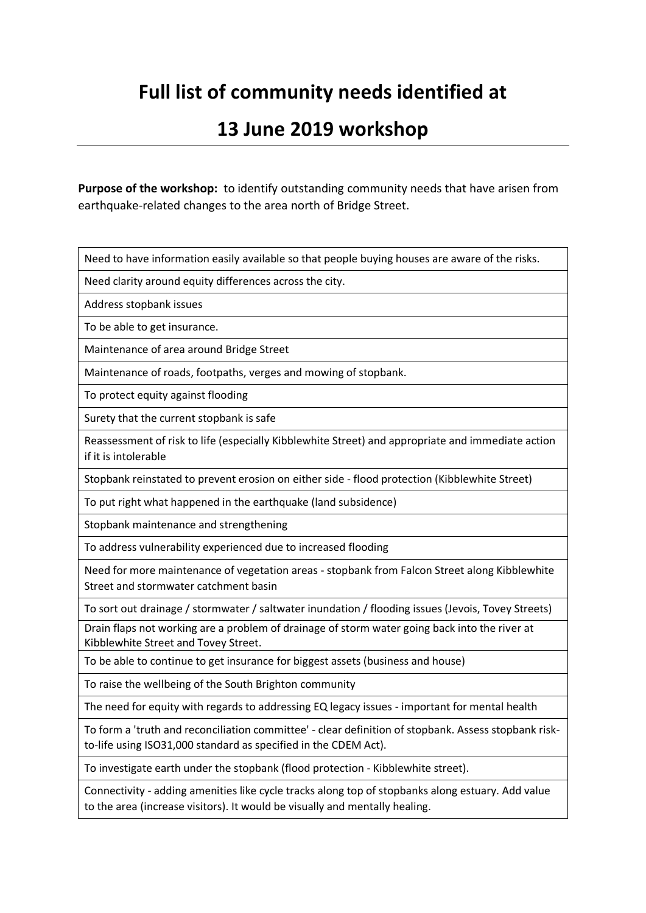# **Full list of community needs identified at**

### **13 June 2019 workshop**

**Purpose of the workshop:** to identify outstanding community needs that have arisen from earthquake-related changes to the area north of Bridge Street.

Need to have information easily available so that people buying houses are aware of the risks.

Need clarity around equity differences across the city.

Address stopbank issues

To be able to get insurance.

Maintenance of area around Bridge Street

Maintenance of roads, footpaths, verges and mowing of stopbank.

To protect equity against flooding

Surety that the current stopbank is safe

Reassessment of risk to life (especially Kibblewhite Street) and appropriate and immediate action if it is intolerable

Stopbank reinstated to prevent erosion on either side - flood protection (Kibblewhite Street)

To put right what happened in the earthquake (land subsidence)

Stopbank maintenance and strengthening

To address vulnerability experienced due to increased flooding

Need for more maintenance of vegetation areas - stopbank from Falcon Street along Kibblewhite Street and stormwater catchment basin

To sort out drainage / stormwater / saltwater inundation / flooding issues (Jevois, Tovey Streets)

Drain flaps not working are a problem of drainage of storm water going back into the river at Kibblewhite Street and Tovey Street.

To be able to continue to get insurance for biggest assets (business and house)

To raise the wellbeing of the South Brighton community

The need for equity with regards to addressing EQ legacy issues - important for mental health

To form a 'truth and reconciliation committee' - clear definition of stopbank. Assess stopbank riskto-life using ISO31,000 standard as specified in the CDEM Act).

To investigate earth under the stopbank (flood protection - Kibblewhite street).

Connectivity - adding amenities like cycle tracks along top of stopbanks along estuary. Add value to the area (increase visitors). It would be visually and mentally healing.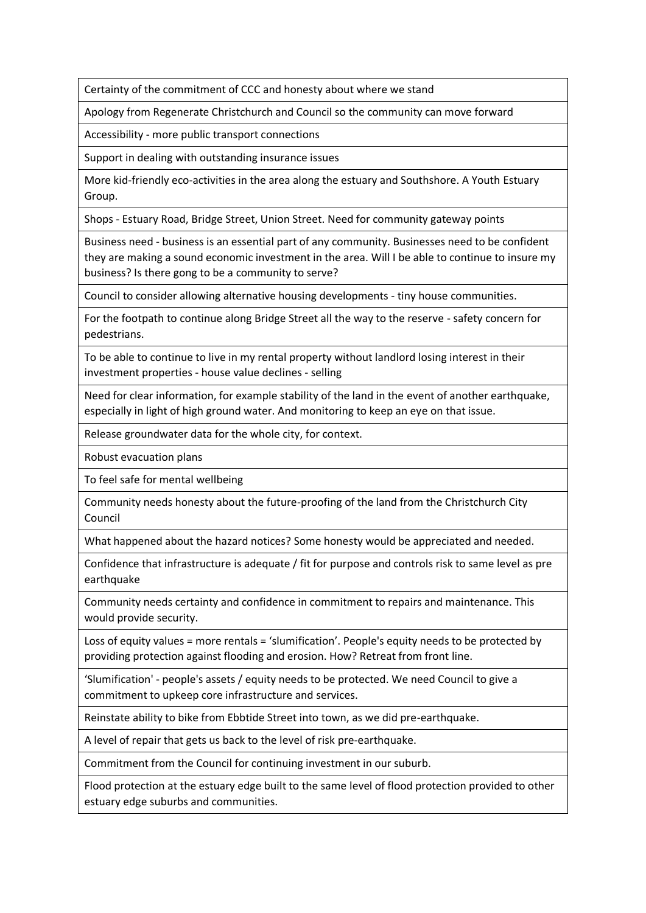Certainty of the commitment of CCC and honesty about where we stand

Apology from Regenerate Christchurch and Council so the community can move forward

Accessibility - more public transport connections

Support in dealing with outstanding insurance issues

More kid-friendly eco-activities in the area along the estuary and Southshore. A Youth Estuary Group.

Shops - Estuary Road, Bridge Street, Union Street. Need for community gateway points

Business need - business is an essential part of any community. Businesses need to be confident they are making a sound economic investment in the area. Will I be able to continue to insure my business? Is there gong to be a community to serve?

Council to consider allowing alternative housing developments - tiny house communities.

For the footpath to continue along Bridge Street all the way to the reserve - safety concern for pedestrians.

To be able to continue to live in my rental property without landlord losing interest in their investment properties - house value declines - selling

Need for clear information, for example stability of the land in the event of another earthquake, especially in light of high ground water. And monitoring to keep an eye on that issue.

Release groundwater data for the whole city, for context.

Robust evacuation plans

To feel safe for mental wellbeing

Community needs honesty about the future-proofing of the land from the Christchurch City Council

What happened about the hazard notices? Some honesty would be appreciated and needed.

Confidence that infrastructure is adequate / fit for purpose and controls risk to same level as pre earthquake

Community needs certainty and confidence in commitment to repairs and maintenance. This would provide security.

Loss of equity values = more rentals = 'slumification'. People's equity needs to be protected by providing protection against flooding and erosion. How? Retreat from front line.

'Slumification' - people's assets / equity needs to be protected. We need Council to give a commitment to upkeep core infrastructure and services.

Reinstate ability to bike from Ebbtide Street into town, as we did pre-earthquake.

A level of repair that gets us back to the level of risk pre-earthquake.

Commitment from the Council for continuing investment in our suburb.

Flood protection at the estuary edge built to the same level of flood protection provided to other estuary edge suburbs and communities.